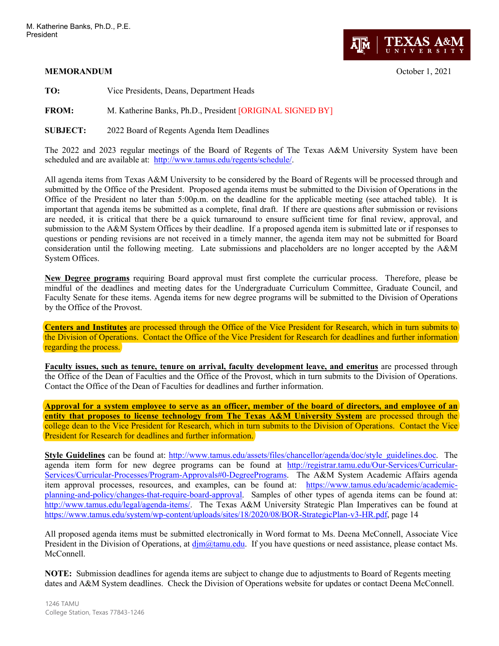## **MEMORANDUM** October 1, 2021



**TO:** Vice Presidents, Deans, Department Heads

**FROM:** M. Katherine Banks, Ph.D., President [ORIGINAL SIGNED BY]

**SUBJECT:** 2022 Board of Regents Agenda Item Deadlines

The 2022 and 2023 regular meetings of the Board of Regents of The Texas A&M University System have been scheduled and are available at: [http://www.tamus.edu/regents/schedule/.](http://www.tamus.edu/regents/schedule/)

All agenda items from Texas A&M University to be considered by the Board of Regents will be processed through and submitted by the Office of the President. Proposed agenda items must be submitted to the Division of Operations in the Office of the President no later than 5:00p.m. on the deadline for the applicable meeting (see attached table). It is important that agenda items be submitted as a complete, final draft. If there are questions after submission or revisions are needed, it is critical that there be a quick turnaround to ensure sufficient time for final review, approval, and submission to the A&M System Offices by their deadline. If a proposed agenda item is submitted late or if responses to questions or pending revisions are not received in a timely manner, the agenda item may not be submitted for Board consideration until the following meeting. Late submissions and placeholders are no longer accepted by the A&M System Offices.

**New Degree programs** requiring Board approval must first complete the curricular process. Therefore, please be mindful of the deadlines and meeting dates for the Undergraduate Curriculum Committee, Graduate Council, and Faculty Senate for these items. Agenda items for new degree programs will be submitted to the Division of Operations by the Office of the Provost.

**Centers and Institutes** are processed through the Office of the Vice President for Research, which in turn submits to the Division of Operations. Contact the Office of the Vice President for Research for deadlines and further information regarding the process.

**Faculty issues, such as tenure, tenure on arrival, faculty development leave, and emeritus** are processed through the Office of the Dean of Faculties and the Office of the Provost, which in turn submits to the Division of Operations. Contact the Office of the Dean of Faculties for deadlines and further information.

**Approval for a system employee to serve as an officer, member of the board of directors, and employee of an entity that proposes to license technology from The Texas A&M University System** are processed through the college dean to the Vice President for Research, which in turn submits to the Division of Operations. Contact the Vice President for Research for deadlines and further information.

**Style Guidelines** can be found at: [http://www.tamus.edu/assets/files/chancellor/agenda/doc/style\\_guidelines.doc.](http://www.tamus.edu/assets/files/chancellor/agenda/doc/style_guidelines.doc) The agenda item form for new degree programs can be found at [http://registrar.tamu.edu/Our-Services/Curricular-](http://registrar.tamu.edu/Our-Services/Curricular-Services/Curricular-Processes/Program-Approvals#0-DegreePrograms)[Services/Curricular-Processes/Program-Approvals#0-DegreePrograms.](http://registrar.tamu.edu/Our-Services/Curricular-Services/Curricular-Processes/Program-Approvals#0-DegreePrograms) The A&M System Academic Affairs agenda item approval processes, resources, and examples, can be found at: [https://www.tamus.edu/academic/academic](https://www.tamus.edu/academic/academic-planning-and-policy/changes-that-require-board-approval)[planning-and-policy/changes-that-require-board-approval.](https://www.tamus.edu/academic/academic-planning-and-policy/changes-that-require-board-approval) Samples of other types of agenda items can be found at: [http://www.tamus.edu/legal/agenda-items/.](http://www.tamus.edu/legal/agenda-items/) The Texas A&M University Strategic Plan Imperatives can be found at [https://www.tamus.edu/system/wp-content/uploads/sites/18/2020/08/BOR-StrategicPlan-v3-HR.pdf,](https://www.tamus.edu/system/wp-content/uploads/sites/18/2020/08/BOR-StrategicPlan-v3-HR.pdf) page 14

All proposed agenda items must be submitted electronically in Word format to Ms. Deena McConnell, Associate Vice President in the Division of Operations, at  $\dim(\Omega_t)$  and  $\dim(\Omega_t)$  if you have questions or need assistance, please contact Ms. McConnell.

**NOTE:** Submission deadlines for agenda items are subject to change due to adjustments to Board of Regents meeting dates and A&M System deadlines. Check the Division of Operations website for updates or contact Deena McConnell.